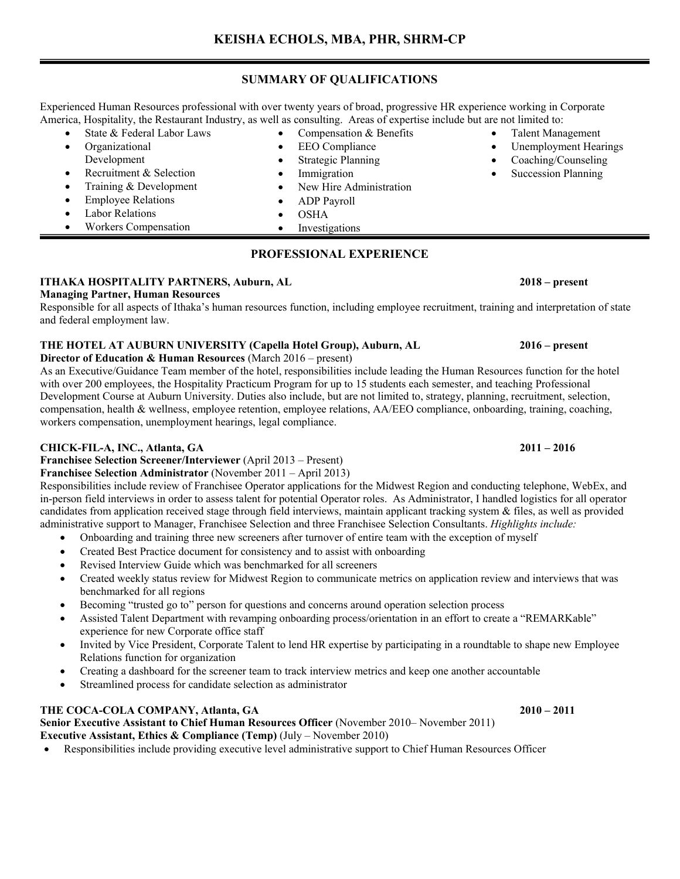## **SUMMARY OF QUALIFICATIONS**

Experienced Human Resources professional with over twenty years of broad, progressive HR experience working in Corporate America, Hospitality, the Restaurant Industry, as well as consulting. Areas of expertise include but are not limited to:

- State & Federal Labor Laws
- Compensation & Benefits **EEO** Compliance
	- **Strategic Planning**
	-
- Recruitment & Selection • Training & Development
- Employee Relations
- Labor Relations

• Organizational Development

- Workers Compensation
- **Investigations**

## **PROFESSIONAL EXPERIENCE**

## **ITHAKA HOSPITALITY PARTNERS, Auburn, AL 2018 – present**

### **Managing Partner, Human Resources**

Responsible for all aspects of Ithaka's human resources function, including employee recruitment, training and interpretation of state and federal employment law.

## **THE HOTEL AT AUBURN UNIVERSITY (Capella Hotel Group), Auburn, AL 2016 – present**

**Director of Education & Human Resources** (March 2016 – present)

As an Executive/Guidance Team member of the hotel, responsibilities include leading the Human Resources function for the hotel with over 200 employees, the Hospitality Practicum Program for up to 15 students each semester, and teaching Professional Development Course at Auburn University. Duties also include, but are not limited to, strategy, planning, recruitment, selection, compensation, health & wellness, employee retention, employee relations, AA/EEO compliance, onboarding, training, coaching, workers compensation, unemployment hearings, legal compliance.

## **CHICK-FIL-A, INC., Atlanta, GA 2011 – 2016**

**Franchisee Selection Screener/Interviewer** (April 2013 – Present)

## **Franchisee Selection Administrator** (November 2011 – April 2013)

Responsibilities include review of Franchisee Operator applications for the Midwest Region and conducting telephone, WebEx, and in-person field interviews in order to assess talent for potential Operator roles. As Administrator, I handled logistics for all operator candidates from application received stage through field interviews, maintain applicant tracking system & files, as well as provided administrative support to Manager, Franchisee Selection and three Franchisee Selection Consultants. *Highlights include:*

- Onboarding and training three new screeners after turnover of entire team with the exception of myself
- Created Best Practice document for consistency and to assist with onboarding
- Revised Interview Guide which was benchmarked for all screeners
- Created weekly status review for Midwest Region to communicate metrics on application review and interviews that was benchmarked for all regions
- Becoming "trusted go to" person for questions and concerns around operation selection process
- Assisted Talent Department with revamping onboarding process/orientation in an effort to create a "REMARKable" experience for new Corporate office staff
- Invited by Vice President, Corporate Talent to lend HR expertise by participating in a roundtable to shape new Employee Relations function for organization
- Creating a dashboard for the screener team to track interview metrics and keep one another accountable
- Streamlined process for candidate selection as administrator

## THE COCA-COLA COMPANY, Atlanta, GA 2010 – 2011

### **Senior Executive Assistant to Chief Human Resources Officer** (November 2010– November 2011) **Executive Assistant, Ethics & Compliance (Temp)** (July – November 2010)

• Responsibilities include providing executive level administrative support to Chief Human Resources Officer

• Talent Management • Unemployment Hearings • Coaching/Counseling Succession Planning

# **Immigration**

- New Hire Administration
- ADP Payroll
- OSHA
	-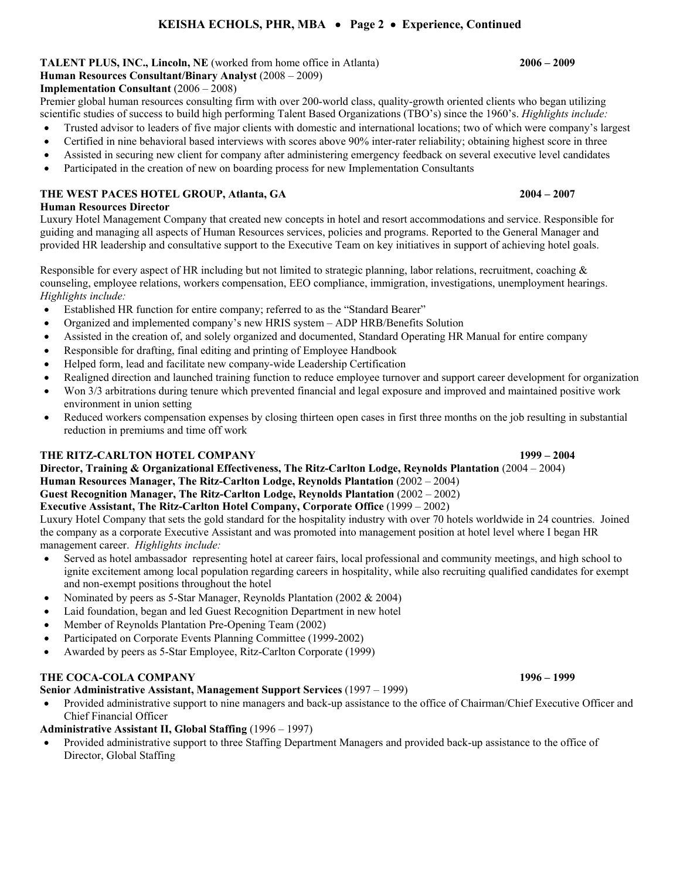## **KEISHA ECHOLS, PHR, MBA** • **Page 2** • **Experience, Continued**

## **TALENT PLUS, INC., Lincoln, NE** (worked from home office in Atlanta) **2006 – 2009**

## **Human Resources Consultant/Binary Analyst** (2008 – 2009)

## **Implementation Consultant** (2006 – 2008)

Premier global human resources consulting firm with over 200-world class, quality-growth oriented clients who began utilizing scientific studies of success to build high performing Talent Based Organizations (TBO's) since the 1960's. *Highlights include:*

- Trusted advisor to leaders of five major clients with domestic and international locations; two of which were company's largest
- Certified in nine behavioral based interviews with scores above 90% inter-rater reliability; obtaining highest score in three
- Assisted in securing new client for company after administering emergency feedback on several executive level candidates
- Participated in the creation of new on boarding process for new Implementation Consultants

## **THE WEST PACES HOTEL GROUP, Atlanta, GA 2004 – 2007**

## **Human Resources Director**

Luxury Hotel Management Company that created new concepts in hotel and resort accommodations and service. Responsible for guiding and managing all aspects of Human Resources services, policies and programs. Reported to the General Manager and provided HR leadership and consultative support to the Executive Team on key initiatives in support of achieving hotel goals.

Responsible for every aspect of HR including but not limited to strategic planning, labor relations, recruitment, coaching & counseling, employee relations, workers compensation, EEO compliance, immigration, investigations, unemployment hearings. *Highlights include:*

- Established HR function for entire company; referred to as the "Standard Bearer"
- Organized and implemented company's new HRIS system ADP HRB/Benefits Solution
- Assisted in the creation of, and solely organized and documented, Standard Operating HR Manual for entire company
- Responsible for drafting, final editing and printing of Employee Handbook
- Helped form, lead and facilitate new company-wide Leadership Certification
- Realigned direction and launched training function to reduce employee turnover and support career development for organization
- Won 3/3 arbitrations during tenure which prevented financial and legal exposure and improved and maintained positive work environment in union setting
- Reduced workers compensation expenses by closing thirteen open cases in first three months on the job resulting in substantial reduction in premiums and time off work

## **THE RITZ-CARLTON HOTEL COMPANY 1999 – 2004**

## **Director, Training & Organizational Effectiveness, The Ritz-Carlton Lodge, Reynolds Plantation** (2004 – 2004) **Human Resources Manager, The Ritz-Carlton Lodge, Reynolds Plantation** (2002 – 2004) **Guest Recognition Manager, The Ritz-Carlton Lodge, Reynolds Plantation** (2002 – 2002) **Executive Assistant, The Ritz-Carlton Hotel Company, Corporate Office** (1999 – 2002)

Luxury Hotel Company that sets the gold standard for the hospitality industry with over 70 hotels worldwide in 24 countries. Joined the company as a corporate Executive Assistant and was promoted into management position at hotel level where I began HR management career. *Highlights include:*

- Served as hotel ambassador representing hotel at career fairs, local professional and community meetings, and high school to ignite excitement among local population regarding careers in hospitality, while also recruiting qualified candidates for exempt and non-exempt positions throughout the hotel
- Nominated by peers as 5-Star Manager, Reynolds Plantation (2002 & 2004)
- Laid foundation, began and led Guest Recognition Department in new hotel
- Member of Reynolds Plantation Pre-Opening Team (2002)
- Participated on Corporate Events Planning Committee (1999-2002)
- Awarded by peers as 5-Star Employee, Ritz-Carlton Corporate (1999)

## **THE COCA-COLA COMPANY 1996 – 1999**

## **Senior Administrative Assistant, Management Support Services** (1997 – 1999)

• Provided administrative support to nine managers and back-up assistance to the office of Chairman/Chief Executive Officer and Chief Financial Officer

## **Administrative Assistant II, Global Staffing** (1996 – 1997)

• Provided administrative support to three Staffing Department Managers and provided back-up assistance to the office of Director, Global Staffing